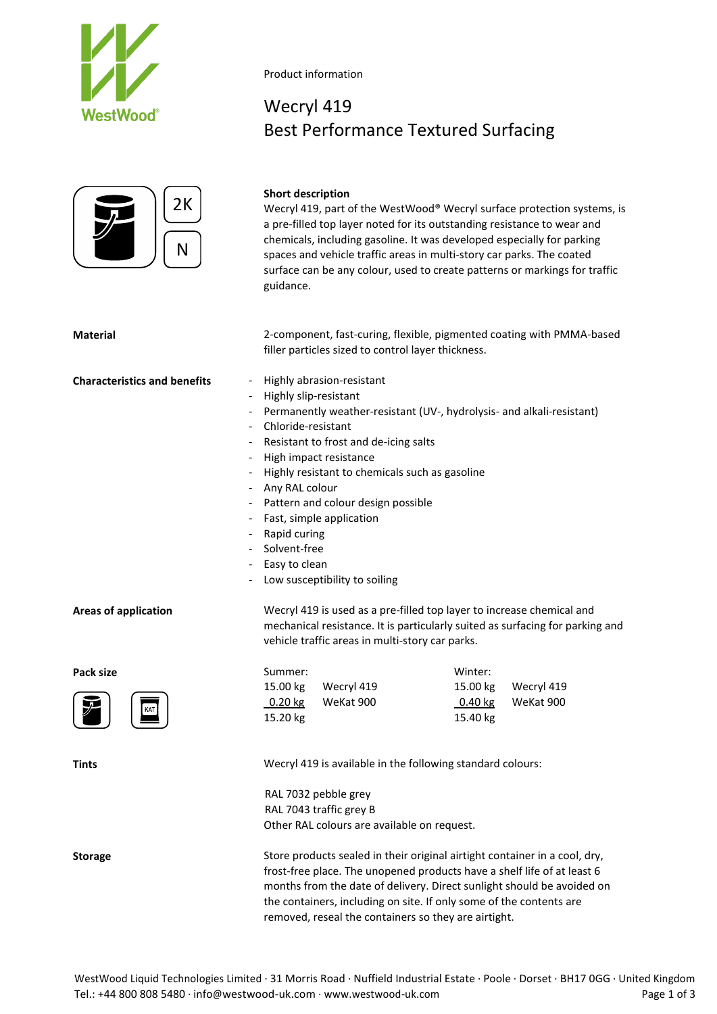



### **Short description**

Product information

Wecryl 419

Wecryl 419, part of the WestWood® Wecryl surface protection systems, is a pre-filled top layer noted for its outstanding resistance to wear and chemicals, including gasoline. It was developed especially for parking spaces and vehicle traffic areas in multi-story car parks. The coated surface can be any colour, used to create patterns or markings for traffic guidance.

Best Performance Textured Surfacing

**Material** 2-component, fast-curing, flexible, pigmented coating with PMMA-based filler particles sized to control layer thickness.

### **Characteristics and benefits** - Highly abrasion-resistant

- 
- Highly slip-resistant
- Permanently weather-resistant (UV-, hydrolysis- and alkali-resistant)
- Chloride-resistant
- Resistant to frost and de-icing salts
- High impact resistance
- Highly resistant to chemicals such as gasoline
- Any RAL colour
- Pattern and colour design possible
- Fast, simple application
- Rapid curing
- Solvent-free
- Easy to clean
- Low susceptibility to soiling

**Areas of application** Wecryl 419 is used as a pre-filled top layer to increase chemical and mechanical resistance. It is particularly suited as surfacing for parking and vehicle traffic areas in multi-story car parks.

| Pack size                                   | Summer:                                                    | Winter:                |  |  |  |
|---------------------------------------------|------------------------------------------------------------|------------------------|--|--|--|
| $ \tilde{\bm{z}} $<br>KAT<br>$\blacksquare$ | 15.00 kg<br>Wecryl 419                                     | 15.00 kg<br>Wecryl 419 |  |  |  |
|                                             | $0.20$ kg<br>WeKat 900                                     | $0.40$ kg<br>WeKat 900 |  |  |  |
|                                             | 15.20 kg                                                   | 15.40 kg               |  |  |  |
|                                             |                                                            |                        |  |  |  |
| <b>Tints</b>                                | Wecryl 419 is available in the following standard colours: |                        |  |  |  |

RAL 7032 pebble grey RAL 7043 traffic grey B Other RAL colours are available on request.

**Storage** Store products sealed in their original airtight container in a cool, dry, frost-free place. The unopened products have a shelf life of at least 6 months from the date of delivery. Direct sunlight should be avoided on the containers, including on site. If only some of the contents are removed, reseal the containers so they are airtight.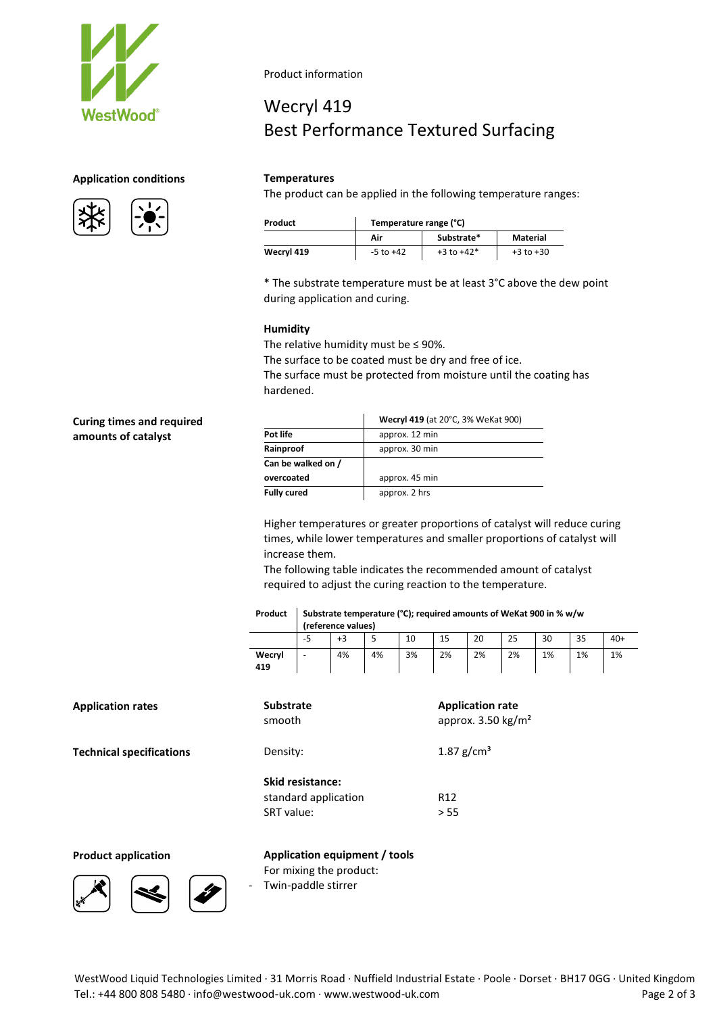

# **Application conditions Temperatures**





Product information

# Wecryl 419 Best Performance Textured Surfacing

The product can be applied in the following temperature ranges:

| Product    | Temperature range (°C) |                |               |  |  |  |
|------------|------------------------|----------------|---------------|--|--|--|
|            | Air                    | Substrate*     | Material      |  |  |  |
| Wecryl 419 | $-5$ to $+42$          | $+3$ to $+42*$ | $+3$ to $+30$ |  |  |  |

\* The substrate temperature must be at least 3°C above the dew point during application and curing.

# **Humidity**

The relative humidity must be  $\leq$  90%. The surface to be coated must be dry and free of ice. The surface must be protected from moisture until the coating has

hardened.

# **Curing times and required amounts of catalyst**

| Wecryl 419 (at 20°C, 3% WeKat 900) |
|------------------------------------|
| approx. 12 min                     |
| approx. 30 min                     |
|                                    |
| approx. 45 min                     |
| approx. 2 hrs                      |
|                                    |

Higher temperatures or greater proportions of catalyst will reduce curing times, while lower temperatures and smaller proportions of catalyst will increase them.

The following table indicates the recommended amount of catalyst required to adjust the curing reaction to the temperature.

| Product   Substrate temperature (°C); required amounts of WeKat 900 in % w/w |
|------------------------------------------------------------------------------|
|                                                                              |

|        | (reference values) |    |    |    |    |    |    |    |    |       |
|--------|--------------------|----|----|----|----|----|----|----|----|-------|
|        | -5                 | +3 |    | 10 | 15 | 20 | 25 | 30 | 35 | $40+$ |
| Wecryl | -                  | 4% | 4% | 3% | 2% | 2% | 2% | 1% | 1% | 1%    |
| 419    |                    |    |    |    |    |    |    |    |    |       |

| <b>Application rates</b>        | <b>Substrate</b><br>smooth                                    | <b>Application rate</b><br>approx. $3.50 \text{ kg/m}^2$ |  |  |
|---------------------------------|---------------------------------------------------------------|----------------------------------------------------------|--|--|
| <b>Technical specifications</b> | Density:                                                      | $1.87$ g/cm <sup>3</sup>                                 |  |  |
|                                 | <b>Skid resistance:</b><br>standard application<br>SRT value: | R <sub>12</sub><br>> 55                                  |  |  |



**Product application Application equipment / tools** For mixing the product: - Twin-paddle stirrer